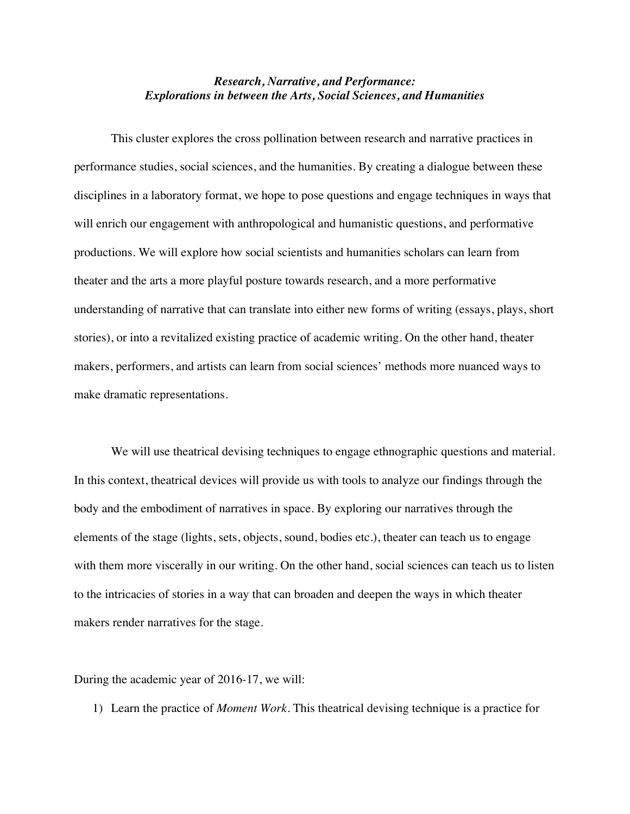## *Research, Narrative, and Performance: Explorations in between the Arts, Social Sciences, and Humanities*

This cluster explores the cross pollination between research and narrative practices in performance studies, social sciences, and the humanities. By creating a dialogue between these disciplines in a laboratory format, we hope to pose questions and engage techniques in ways that will enrich our engagement with anthropological and humanistic questions, and performative productions. We will explore how social scientists and humanities scholars can learn from theater and the arts a more playful posture towards research, and a more performative understanding of narrative that can translate into either new forms of writing (essays, plays, short stories), or into a revitalized existing practice of academic writing. On the other hand, theater makers, performers, and artists can learn from social sciences' methods more nuanced ways to make dramatic representations.

We will use theatrical devising techniques to engage ethnographic questions and material. In this context, theatrical devices will provide us with tools to analyze our findings through the body and the embodiment of narratives in space. By exploring our narratives through the elements of the stage (lights, sets, objects, sound, bodies etc.), theater can teach us to engage with them more viscerally in our writing. On the other hand, social sciences can teach us to listen to the intricacies of stories in a way that can broaden and deepen the ways in which theater makers render narratives for the stage.

During the academic year of 2016-17, we will:

1) Learn the practice of *Moment Work.* This theatrical devising technique is a practice for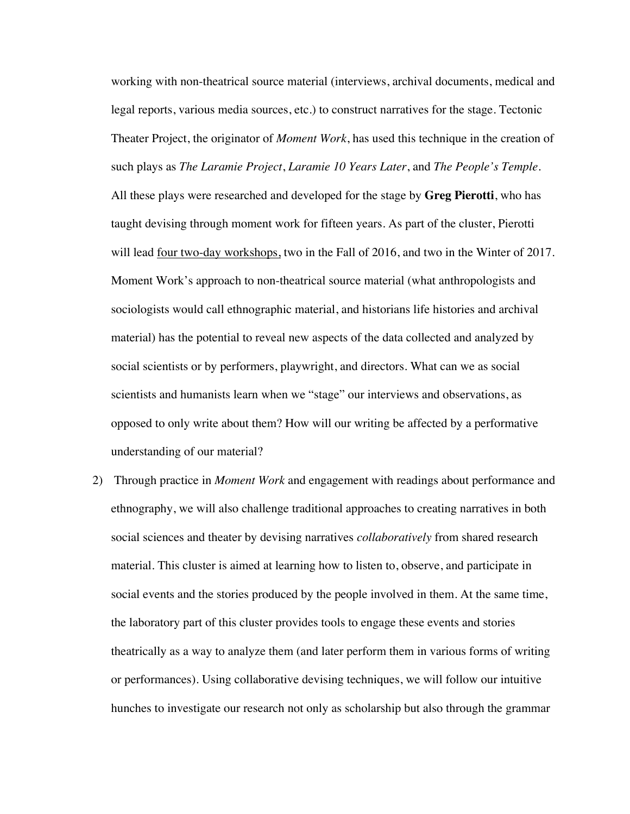working with non-theatrical source material (interviews, archival documents, medical and legal reports, various media sources, etc.) to construct narratives for the stage. Tectonic Theater Project, the originator of *Moment Work*, has used this technique in the creation of such plays as *The Laramie Project*, *Laramie 10 Years Later*, and *The People's Temple*. All these plays were researched and developed for the stage by **Greg Pierotti**, who has taught devising through moment work for fifteen years. As part of the cluster, Pierotti will lead four two-day workshops, two in the Fall of 2016, and two in the Winter of 2017. Moment Work's approach to non-theatrical source material (what anthropologists and sociologists would call ethnographic material, and historians life histories and archival material) has the potential to reveal new aspects of the data collected and analyzed by social scientists or by performers, playwright, and directors. What can we as social scientists and humanists learn when we "stage" our interviews and observations, as opposed to only write about them? How will our writing be affected by a performative understanding of our material?

2) Through practice in *Moment Work* and engagement with readings about performance and ethnography, we will also challenge traditional approaches to creating narratives in both social sciences and theater by devising narratives *collaboratively* from shared research material. This cluster is aimed at learning how to listen to, observe, and participate in social events and the stories produced by the people involved in them. At the same time, the laboratory part of this cluster provides tools to engage these events and stories theatrically as a way to analyze them (and later perform them in various forms of writing or performances). Using collaborative devising techniques, we will follow our intuitive hunches to investigate our research not only as scholarship but also through the grammar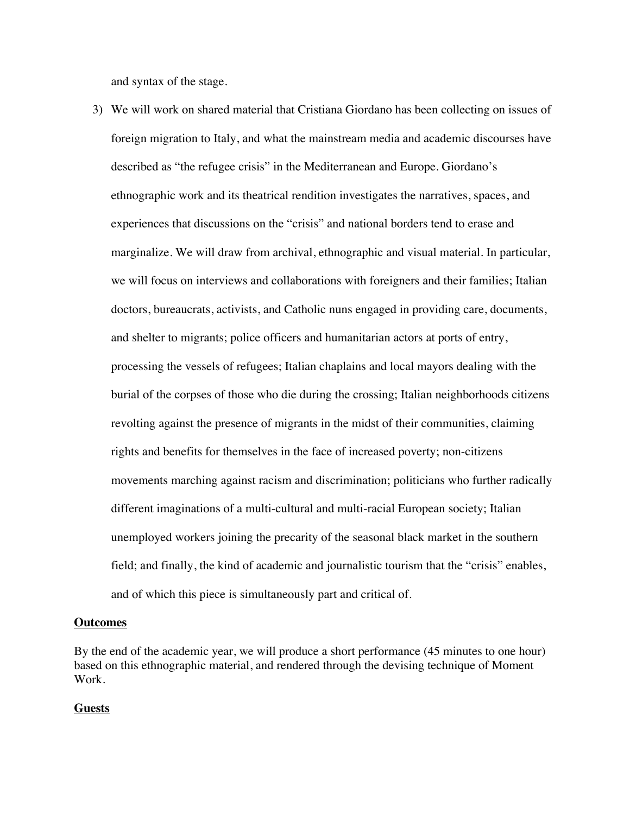and syntax of the stage.

3) We will work on shared material that Cristiana Giordano has been collecting on issues of foreign migration to Italy, and what the mainstream media and academic discourses have described as "the refugee crisis" in the Mediterranean and Europe. Giordano's ethnographic work and its theatrical rendition investigates the narratives, spaces, and experiences that discussions on the "crisis" and national borders tend to erase and marginalize. We will draw from archival, ethnographic and visual material. In particular, we will focus on interviews and collaborations with foreigners and their families; Italian doctors, bureaucrats, activists, and Catholic nuns engaged in providing care, documents, and shelter to migrants; police officers and humanitarian actors at ports of entry, processing the vessels of refugees; Italian chaplains and local mayors dealing with the burial of the corpses of those who die during the crossing; Italian neighborhoods citizens revolting against the presence of migrants in the midst of their communities, claiming rights and benefits for themselves in the face of increased poverty; non-citizens movements marching against racism and discrimination; politicians who further radically different imaginations of a multi-cultural and multi-racial European society; Italian unemployed workers joining the precarity of the seasonal black market in the southern field; and finally, the kind of academic and journalistic tourism that the "crisis" enables, and of which this piece is simultaneously part and critical of.

## **Outcomes**

By the end of the academic year, we will produce a short performance (45 minutes to one hour) based on this ethnographic material, and rendered through the devising technique of Moment Work.

## **Guests**